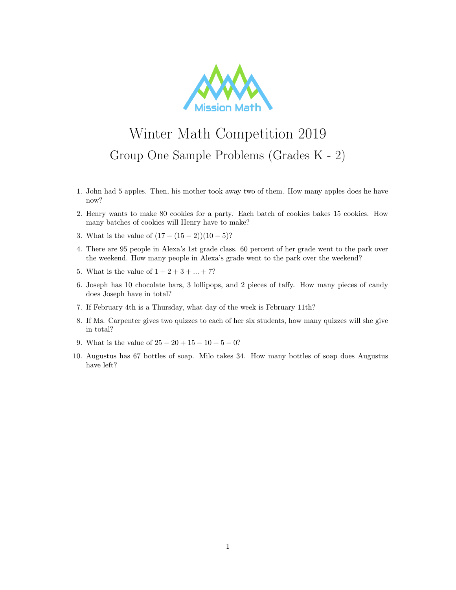

## Winter Math Competition 2019 Group One Sample Problems (Grades K - 2)

- 1. John had 5 apples. Then, his mother took away two of them. How many apples does he have now?
- 2. Henry wants to make 80 cookies for a party. Each batch of cookies bakes 15 cookies. How many batches of cookies will Henry have to make?
- 3. What is the value of  $(17 (15 2))(10 5)$ ?
- 4. There are 95 people in Alexa's 1st grade class. 60 percent of her grade went to the park over the weekend. How many people in Alexa's grade went to the park over the weekend?
- 5. What is the value of  $1 + 2 + 3 + ... + 7$ ?
- 6. Joseph has 10 chocolate bars, 3 lollipops, and 2 pieces of taffy. How many pieces of candy does Joseph have in total?
- 7. If February 4th is a Thursday, what day of the week is February 11th?
- 8. If Ms. Carpenter gives two quizzes to each of her six students, how many quizzes will she give in total?
- 9. What is the value of  $25 20 + 15 10 + 5 0$ ?
- 10. Augustus has 67 bottles of soap. Milo takes 34. How many bottles of soap does Augustus have left?